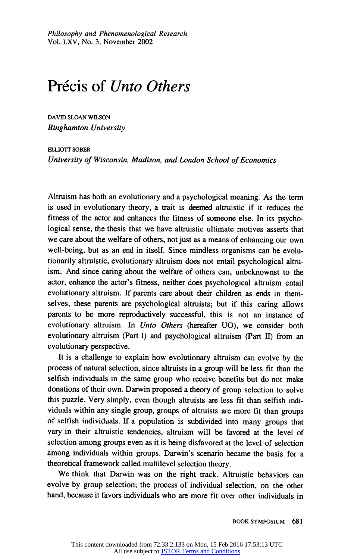# **Précis of** *Unto Others*

**DAVID SLOAN WILSON Binghamton University** 

**ELLIOTT SOBER University of Wisconsin, Madison, and London School of Economics** 

**Altruism has both an evolutionary and a psychological meaning. As the term is used in evolutionary theory, a trait is deemed altruistic if it reduces the fitness of the actor and enhances the fitness of someone else. In its psychological sense, the thesis that we have altruistic ultimate motives asserts that we care about the welfare of others, not just as a means of enhancing our own well-being, but as an end in itself. Since mindless organisms can be evolutionarily altruistic, evolutionary altruism does not entail psychological altruism. And since caring about the welfare of others can, unbeknownst to the actor, enhance the actor's fitness, neither does psychological altruism entail evolutionary altruism. If parents care about their children as ends in themselves, these parents are psychological altruists; but if this caring allows parents to be more reproductively successful, this is not an instance of evolutionary altruism. In Unto Others (hereafter UO), we consider both evolutionary altruism (Part I) and psychological altruism (Part II) from an evolutionary perspective.** 

**It is a challenge to explain how evolutionary altruism can evolve by the process of natural selection, since altruists in a group will be less fit than the selfish individuals in the same group who receive benefits but do not make donations of their own. Darwin proposed a theory of group selection to solve this puzzle. Very simply, even though altruists are less fit than selfish individuals within any single group, groups of altruists are more fit than groups of selfish individuals. If a population is subdivided into many groups that vary in their altruistic tendencies, altruism will be favored at the level of selection among groups even as it is being disfavored at the level of selection among individuals within groups. Darwin's scenario became the basis for a theoretical framework called multilevel selection theory.** 

**We think that Darwin was on the right track. Altruistic behaviors can evolve by group selection; the process of individual selection, on the other hand, because it favors individuals who are more fit over other individuals in**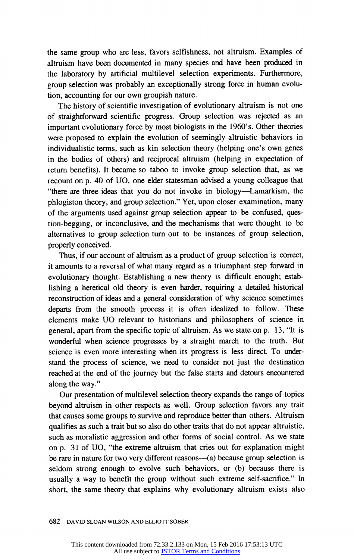**the same group who are less, favors selfishness, not altruism. Examples of altruism have been documented in many species and have been produced in the laboratory by artificial multilevel selection experiments. Furthermore, group selection was probably an exceptionally strong force in human evolution, accounting for our own groupish nature.** 

**The history of scientific investigation of evolutionary altruism is not one of straightforward scientific progress. Group selection was rejected as an important evolutionary force by most biologists in the 1960's. Other theories were proposed to explain the evolution of seemingly altruistic behaviors in individualistic terms, such as kin selection theory (helping one's own genes in the bodies of others) and reciprocal altruism (helping in expectation of return benefits). It became so taboo to invoke group selection that, as we recount on p. 40 of UO, one elder statesman advised a young colleague that "there are three ideas that you do not invoke in biology-Lamarkism, the phlogiston theory, and group selection." Yet, upon closer examination, many of the arguments used against group selection appear to be confused, question-begging, or inconclusive, and the mechanisms that were thought to be alternatives to group selection turn out to be instances of group selection, properly conceived.** 

**Thus, if our account of altruism as a product of group selection is correct, it amounts to a reversal of what many regard as a triumphant step forward in evolutionary thought. Establishing a new theory is difficult enough; establishing a heretical old theory is even harder, requiring a detailed historical reconstruction of ideas and a general consideration of why science sometimes departs from the smooth process it is often idealized to follow. These elements make UO relevant to historians and philosophers of science in general, apart from the specific topic of altruism. As we state on p. 13, "It is wonderful when science progresses by a straight march to the truth. But science is even more interesting when its progress is less direct. To understand the process of science, we need to consider not just the destination reached at the end of the journey but the false starts and detours encountered along the way."** 

**Our presentation of multilevel selection theory expands the range of topics beyond altruism in other respects as well. Group selection favors any trait that causes some groups to survive and reproduce better than others. Altruism qualifies as such a trait but so also do other traits that do not appear altruistic, such as moralistic aggression and other forms of social control. As we state on p. 31 of UO, "the extreme altruism that cries out for explanation might**  be rare in nature for two very different reasons—(a) because group selection is **seldom strong enough to evolve such behaviors, or (b) because there is usually a way to benefit the group without such extreme self-sacrifice." In short, the same theory that explains why evolutionary altruism exists also**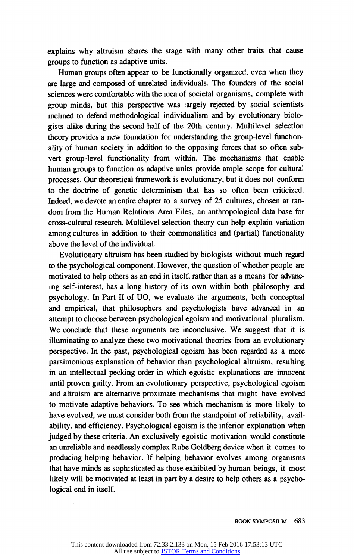**explains why altruism shares the stage with many other traits that cause groups to function as adaptive units.** 

**Human groups often appear to be functionally organized, even when they are large and composed of unrelated individuals. The founders of the social sciences were comfortable with the idea of societal organisms, complete with group minds, but this perspective was largely rejected by social scientists inclined to defend methodological individualism and by evolutionary biologists alike during the second half of the 20th century. Multilevel selection theory provides a new foundation for understanding the group-level functionality of human society in addition to the opposing forces that so often subvert group-level functionality from within. The mechanisms that enable human groups to function as adaptive units provide ample scope for cultural processes. Our theoretical framework is evolutionary, but it does not conform to the doctrine of genetic determinism that has so often been criticized. Indeed, we devote an entire chapter to a survey of 25 cultures, chosen at random from the Human Relations Area Files, an anthropological data base for cross-cultural research. Multilevel selection theory can help explain variation among cultures in addition to their commonalities and (partial) functionality above the level of the individual.** 

**Evolutionary altruism has been studied by biologists without much regard to the psychological component. However, the question of whether people are motivated to help others as an end in itself, rather than as a means for advancing self-interest, has a long history of its own within both philosophy and psychology. In Part II of UO, we evaluate the arguments, both conceptual and empirical, that philosophers and psychologists have advanced in an attempt to choose between psychological egoism and motivational pluralism. We conclude that these arguments are inconclusive. We suggest that it is illuminating to analyze these two motivational theories from an evolutionary perspective. In the past, psychological egoism has been regarded as a more parsimonious explanation of behavior than psychological altruism, resulting in an intellectual pecking order in which egoistic explanations are innocent until proven guilty. From an evolutionary perspective, psychological egoism and altruism are alternative proximate mechanisms that might have evolved to motivate adaptive behaviors. To see which mechanism is more likely to have evolved, we must consider both from the standpoint of reliability, availability, and efficiency. Psychological egoism is the inferior explanation when judged by these criteria. An exclusively egoistic motivation would constitute an unreliable and needlessly complex Rube Goldberg device when it comes to producing helping behavior. If helping behavior evolves among organisms that have minds as sophisticated as those exhibited by human beings, it most likely will be motivated at least in part by a desire to help others as a psychological end in itself.**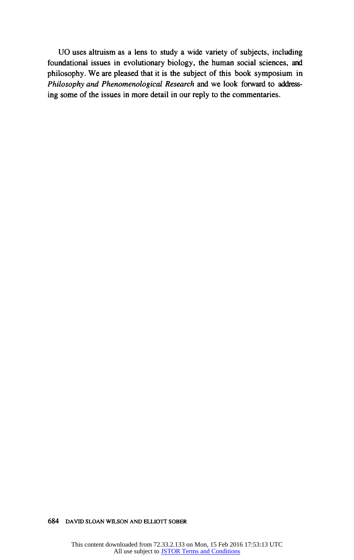**UO uses altruism as a lens to study a wide variety of subjects, including foundational issues in evolutionary biology, the human social sciences, and philosophy. We are pleased that it is the subject of this book symposium in Philosophy and Phenomenological Research and we look forward to addressing some of the issues in more detail in our reply to the commentaries.**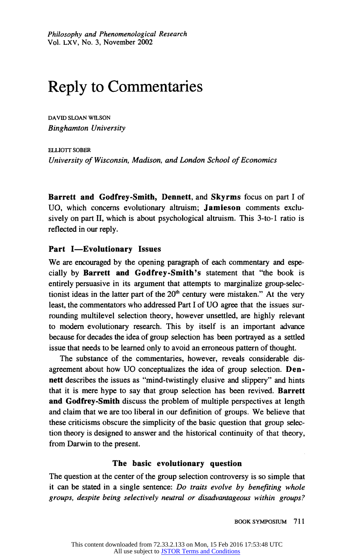# **Reply to Commentaries**

**DAVID SLOAN WILSON Binghamton University** 

**ELLIOTT SOBER University of Wisconsin, Madison, and London School of Economics** 

**Barrett and Godfrey-Smith, Dennett, and Skyrms focus on part I of UO, which concerns evolutionary altruism; Jamieson comments exclusively on part II, which is about psychological altruism. This 3-to-1 ratio is reflected in our reply.** 

### **Part I-Evolutionary Issues**

**We are encouraged by the opening paragraph of each commentary and especially by Barrett and Godfrey-Smith's statement that "the book is entirely persuasive in its argument that attempts to marginalize group-selectionist ideas in the latter part of the 20<sup>th</sup> century were mistaken." At the very least, the commentators who addressed Part I of UO agree that the issues surrounding multilevel selection theory, however unsettled, are highly relevant**  to modern evolutionary research. This by itself is an important advance **because for decades the idea of group selection has been portrayed as a settled issue that needs to be learned only to avoid an erroneous pattern of thought.** 

**The substance of the commentaries, however, reveals considerable disagreement about how UO conceptualizes the idea of group selection. Dennett describes the issues as "mind-twistingly elusive and slippery" and hints that it is mere hype to say that group selection has been revived. Barrett and Godfrey-Smith discuss the problem of multiple perspectives at length and claim that we are too liberal in our definition of groups. We believe that these criticisms obscure the simplicity of the basic question that group selection theory is designed to answer and the historical continuity of that theory, from Darwin to the present.** 

#### **The basic evolutionary question**

**The question at the center of the group selection controversy is so simple that it can be stated in a single sentence: Do traits evolve by benefiting whole groups, despite being selectively neutral or disadvantageous within groups?**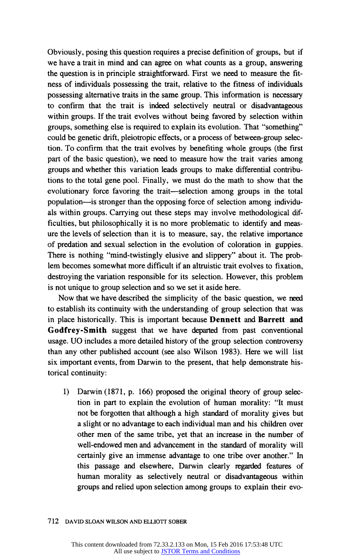**Obviously, posing this question requires a precise definition of groups, but if we have a trait in mind and can agree on what counts as a group, answering the question is in principle straightforward. First we need to measure the fitness of individuals possessing the trait, relative to the fitness of individuals possessing alternative traits in the same group. This information is necessary to confirm that the trait is indeed selectively neutral or disadvantageous within groups. If the trait evolves without being favored by selection within groups, something else is required to explain its evolution. That "something" could be genetic drift, pleiotropic effects, or a process of between-group selection. To confirm that the trait evolves by benefiting whole groups (the first part of the basic question), we need to measure how the trait varies among groups and whether this variation leads groups to make differential contributions to the total gene pool. Finally, we must do the math to show that the evolutionary force favoring the trait-selection among groups in the total population-is stronger than the opposing force of selection among individuals within groups. Carrying out these steps may involve methodological difficulties, but philosophically it is no more problematic to identify and measure the levels of selection than it is to measure, say, the relative importance of predation and sexual selection in the evolution of coloration in guppies. There is nothing "mind-twistingly elusive and slippery" about it. The problem becomes somewhat more difficult if an altruistic trait evolves to fixation, destroying the variation responsible for its selection. However, this problem is not unique to group selection and so we set it aside here.** 

**Now that we have described the simplicity of the basic question, we need to establish its continuity with the understanding of group selection that was in place historically. This is important because Dennett and Barrett and Godfrey-Smith suggest that we have departed from past conventional usage. UO includes a more detailed history of the group selection controversy than any other published account (see also Wilson 1983). Here we will list six important events, from Darwin to the present, that help demonstrate historical continuity:** 

**1) Darwin (1871, p. 166) proposed the original theory of group selection in part to explain the evolution of human morality: "It must not be forgotten that although a high standard of morality gives but a slight or no advantage to each individual man and his children over other men of the same tribe, yet that an increase in the number of well-endowed men and advancement in the standard of morality will certainly give an immense advantage to one tribe over another." In this passage and elsewhere, Darwin clearly regarded features of human morality as selectively neutral or disadvantageous within groups and relied upon selection among groups to explain their evo-**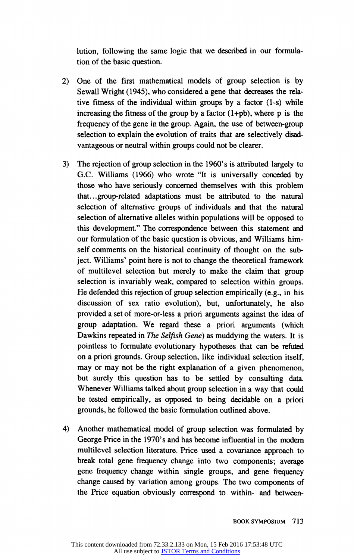**lution, following the same logic that we described in our formulation of the basic question.** 

- **2) One of the first mathematical models of group selection is by Sewall Wright (1945), who considered a gene that decreases the relative fitness of the individual within groups by a factor (1-s) while**  increasing the fitness of the group by a factor  $(1+p<sub>b</sub>)$ , where  $p$  is the **frequency of the gene in the group. Again, the use of between-group selection to explain the evolution of traits that are selectively disadvantageous or neutral within groups could not be clearer.**
- **3) The rejection of group selection in the 1960's is attributed largely to G.C. Williams (1966) who wrote "It is universally conceded by those who have seriously concerned themselves with this problem that. .group-related adaptations must be attributed to the natural selection of alternative groups of individuals and that the natural selection of alternative alleles within populations will be opposed to this development." The correspondence between this statement and our formulation of the basic question is obvious, and Williams himself comments on the historical continuity of thought on the subject. Williams' point here is not to change the theoretical framework of multilevel selection but merely to make the claim that group selection is invariably weak, compared to selection within groups. He defended this rejection of group selection empirically (e.g., in his discussion of sex ratio evolution), but, unfortunately, he also provided a set of more-or-less a priori arguments against the idea of group adaptation. We regard these a priori arguments (which Dawkins repeated in The Selfish Gene) as muddying the waters. It is pointless to formulate evolutionary hypotheses that can be refuted on a priori grounds. Group selection, like individual selection itself, may or may not be the right explanation of a given phenomenon, but surely this question has to be settled by consulting data. Whenever Williams talked about group selection in a way that could be tested empirically, as opposed to being decidable on a priori grounds, he followed the basic formulation outlined above.**
- **4) Another mathematical model of group selection was formulated by George Price in the 1970's and has become influential in the modem multilevel selection literature. Price used a covariance approach to break total gene frequency change into two components; average gene frequency change within single groups, and gene frequency change caused by variation among groups. The two components of the Price equation obviously correspond to within- and between-**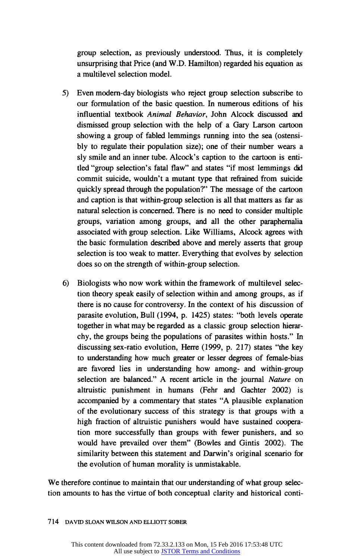**group selection, as previously understood. Thus, it is completely unsurprising that Price (and W.D. Hamilton) regarded his equation as a multilevel selection model.** 

- **5) Even modem-day biologists who reject group selection subscribe to our formulation of the basic question. In numerous editions of his influential textbook Animal Behavior, John Alcock discussed and dismissed group selection with the help of a Gary Larson cartoon showing a group of fabled lemmings running into the sea (ostensibly to regulate their population size); one of their number wears a sly smile and an inner tube. Alcock's caption to the cartoon is entitled "group selection's fatal flaw" and states "if most lemmings did commit suicide, wouldn't a mutant type that refrained from suicide quickly spread through the population?" The message of the cartoon and caption is that within-group selection is all that matters as far as natural selection is concerned. There is no need to consider multiple groups, variation among groups, and all the other paraphernalia associated with group selection. Like Williams, Alcock agrees with the basic formulation described above and merely asserts that group selection is too weak to matter. Everything that evolves by selection does so on the strength of within-group selection.**
- **6) Biologists who now work within the framework of multilevel selection theory speak easily of selection within and among groups, as if there is no cause for controversy. In the context of his discussion of parasite evolution, Bull (1994, p. 1425) states: "both levels operate together in what may be regarded as a classic group selection hierarchy, the groups being the populations of parasites within hosts." In discussing sex-ratio evolution, Herre (1999, p. 217) states "the key to understanding how much greater or lesser degrees of female-bias are favored lies in understanding how among- and within-group selection are balanced." A recent article in the journal Nature on altruistic punishment in humans (Fehr and Gachter 2002) is accompanied by a commentary that states "A plausible explanation of the evolutionary success of this strategy is that groups with a high fraction of altruistic punishers would have sustained cooperation more successfully than groups with fewer punishers, and so would have prevailed over them" (Bowles and Gintis 2002). The similarity between this statement and Darwin's original scenario for the evolution of human morality is unmistakable.**

**We therefore continue to maintain that our understanding of what group selection amounts to has the virtue of both conceptual clarity and historical conti-**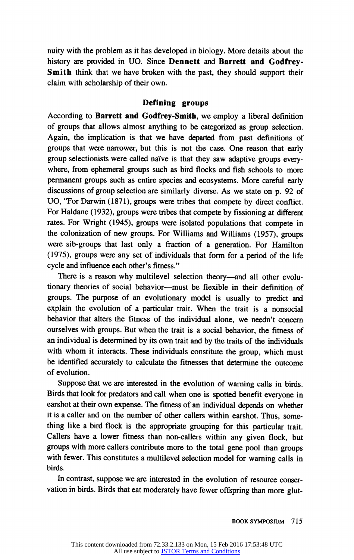**nuity with the problem as it has developed in biology. More details about the history are provided in UO. Since Dennett and Barrett and Godfrey-Smith think that we have broken with the past, they should support their claim with scholarship of their own.** 

# **Defining groups**

**According to Barrett and Godfrey-Smith, we employ a liberal definition of groups that allows almost anything to be categorized as group selection. Again, the implication is that we have departed from past definitions of groups that were narrower, but this is not the case. One reason that early group selectionists were called naive is that they saw adaptive groups everywhere, from ephemeral groups such as bird flocks and fish schools to more permanent groups such as entire species and ecosystems. More careful early discussions of group selection are similarly diverse. As we state on p. 92 of UO, "For Darwin (1871), groups were tribes that compete by direct conflict. For Haldane (1932), groups were tribes that compete by fissioning at different rates. For Wright (1945), groups were isolated populations that compete in the colonization of new groups. For Williams and Williams (1957), groups were sib-groups that last only a fraction of a generation. For Hamilton (1975), groups were any set of individuals that form for a period of the life cycle and influence each other's fitness."** 

There is a reason why multilevel selection theory-and all other evolu**tionary theories of social behavior-must be flexible in their definition of groups. The purpose of an evolutionary model is usually to predict and explain the evolution of a particular trait. When the trait is a nonsocial behavior that alters the fitness of the individual alone, we needn't concern ourselves with groups. But when the trait is a social behavior, the fitness of an individual is determined by its own trait and by the traits of the individuals with whom it interacts. These individuals constitute the group, which must be identified accurately to calculate the fitnesses that determine the outcome of evolution.** 

**Suppose that we are interested in the evolution of warning calls in birds. Birds that look for predators and call when one is spotted benefit everyone in earshot at their own expense. The fitness of an individual depends on whether it is a caller and on the number of other callers within earshot. Thus, something like a bird flock is the appropriate grouping for this particular trait. Callers have a lower fitness than non-callers within any given flock, but groups with more callers contribute more to the total gene pool than groups with fewer. This constitutes a multilevel selection model for warning calls in birds.** 

**In contrast, suppose we are interested in the evolution of resource conservation in birds. Birds that eat moderately have fewer offspring than more glut-**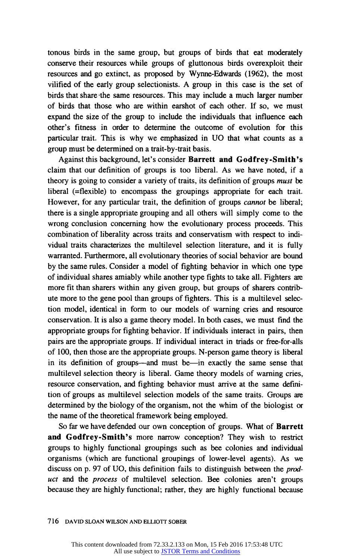**tonous birds in the same group, but groups of birds that eat moderately conserve their resources while groups of gluttonous birds overexploit their resources and go extinct, as proposed by Wynne-Edwards (1962), the most vilified of the early group selectionists. A group in this case is the set of birds that share the same resources. This may include a much larger number of birds that those who are within earshot of each other. If so, we must expand the size of the group to include the individuals that influence each other's fitness in order to determine the outcome of evolution for this particular trait. This is why we emphasized in UO that what counts as a group must be determined on a trait-by-trait basis.** 

**Against this background, let's consider Barrett and Godfrey-Smith's claim that our definition of groups is too liberal. As we have noted, if a theory is going to consider a variety of traits, its definition of groups must be liberal (=flexible) to encompass the groupings appropriate for each trait. However, for any particular trait, the definition of groups cannot be liberal; there is a single appropriate grouping and all others will simply come to the wrong conclusion concerning how the evolutionary process proceeds. This combination of liberality across traits and conservatism with respect to individual traits characterizes the multilevel selection literature, and it is fully warranted. Furthermore, all evolutionary theories of social behavior are bound by the same rules. Consider a model of fighting behavior in which one type of individual shares amiably while another type fights to take all. Fighters are more fit than sharers within any given group, but groups of sharers contribute more to the gene pool than groups of fighters. This is a multilevel selection model, identical in form to our models of warning cries and resource conservation. It is also a game theory model. In both cases, we must find the appropriate groups for fighting behavior. If individuals interact in pairs, then pairs are the appropriate groups. If individual interact in triads or free-for-alls of 100, then those are the appropriate groups. N-person game theory is liberal**  in its definition of groups—and must be—in exactly the same sense that **multilevel selection theory is liberal. Game theory models of warning cries,**  resource conservation, and fighting behavior must arrive at the same defini**tion of groups as multilevel selection models of the same traits. Groups are determined by the biology of the organism, not the whim of the biologist or the name of the theoretical framework being employed.** 

**So far we have defended our own conception of groups. What of Barrett and Godfrey-Smith's more narrow conception? They wish to restrict groups to highly functional groupings such as bee colonies and individual organisms (which are functional groupings of lower-level agents). As we discuss on p. 97 of UO, this definition fails to distinguish between the product and the process of multilevel selection. Bee colonies aren't groups because they are highly functional; rather, they are highly functional because**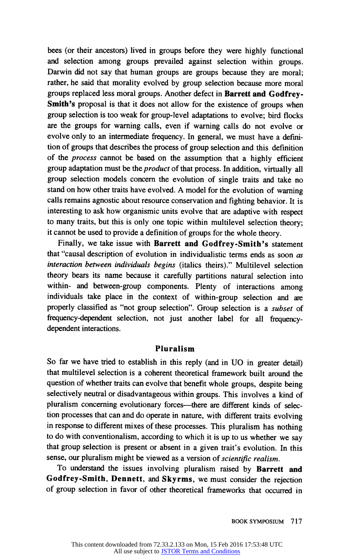**bees (or their ancestors) lived in groups before they were highly functional and selection among groups prevailed against selection within groups. Darwin did not say that human groups are groups because they are moral; rather, he said that morality evolved by group selection because more moral groups replaced less moral groups. Another defect in Barrett and Godfrey-Smith's proposal is that it does not allow for the existence of groups when group selection is too weak for group-level adaptations to evolve; bird flocks are the groups for warning calls, even if warning calls do not evolve or evolve only to an intermediate frequency. In general, we must have a definition of groups that describes the process of group selection and this definition of the process cannot be based on the assumption that a highly efficient group adaptation must be the product of that process. In addition, virtually all group selection models concern the evolution of single traits and take no stand on how other traits have evolved. A model for the evolution of warning calls remains agnostic about resource conservation and fighting behavior. It is interesting to ask how organismic units evolve that are adaptive with respect to many traits, but this is only one topic within multilevel selection theory; it cannot be used to provide a definition of groups for the whole theory.** 

**Finally, we take issue with Barrett and Godfrey-Smith's statement that "causal description of evolution in individualistic terms ends as soon as interaction between individuals begins (italics theirs)." Multilevel selection theory bears its name because it carefully partitions natural selection into within- and between-group components. Plenty of interactions among individuals take place in the context of within-group selection and are properly classified as "not group selection". Group selection is a subset of frequency-dependent selection, not just another label for all frequencydependent interactions.** 

### **Pluralism**

**So far we have tried to establish in this reply (and in UO in greater detail) that multilevel selection is a coherent theoretical framework built around the question of whether traits can evolve that benefit whole groups, despite being selectively neutral or disadvantageous within groups. This involves a kind of**  pluralism concerning evolutionary forces—there are different kinds of selec**tion processes that can and do operate in nature, with different traits evolving in response to different mixes of these processes. This pluralism has nothing to do with conventionalism, according to which it is up to us whether we say that group selection is present or absent in a given trait's evolution. In this sense, our pluralism might be viewed as a version of scientific realism.** 

**To understand the issues involving pluralism raised by Barrett and Godfrey-Smith, Dennett, and Skyrms, we must consider the rejection of group selection in favor of other theoretical frameworks that occurred in**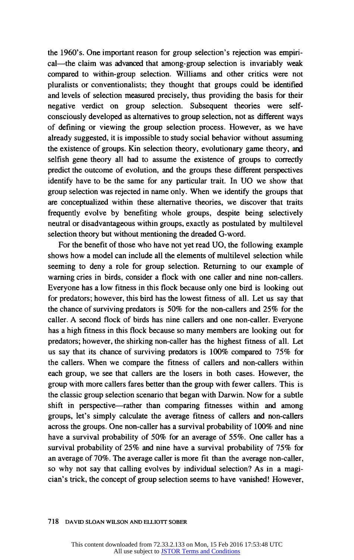**the 1960's. One important reason for group selection's rejection was empirical-the claim was advanced that among-group selection is invariably weak compared to within-group selection. Williams and other critics were not pluralists or conventionalists; they thought that groups could be identified and levels of selection measured precisely, thus providing the basis for their negative verdict on group selection. Subsequent theories were selfconsciously developed as alternatives to group selection, not as different ways of defining or viewing the group selection process. However, as we have already suggested, it is impossible to study social behavior without assuming the existence of groups. Kin selection theory, evolutionary game theory, and selfish gene theory all had to assume the existence of groups to correctly predict the outcome of evolution, and the groups these different perspectives identify have to be the same for any particular trait. In UO we show that group selection was rejected in name only. When we identify the groups that are conceptualized within these alternative theories, we discover that traits frequently evolve by benefiting whole groups, despite being selectively neutral or disadvantageous within groups, exactly as postulated by multilevel selection theory but without mentioning the dreaded G-word.** 

**For the benefit of those who have not yet read UO, the following example shows how a model can include all the elements of multilevel selection while seeming to deny a role for group selection. Returning to our example of warning cries in birds, consider a flock with one caller and nine non-callers. Everyone has a low fitness in this flock because only one bird is looking out for predators; however, this bird has the lowest fitness of all. Let us say that the chance of surviving predators is 50% for the non-callers and 25% for the caller. A second flock of birds has nine callers and one non-caller. Everyone has a high fitness in this flock because so many members are looking out for predators; however, the shirking non-caller has the highest fitness of all. Let us say that its chance of surviving predators is 100% compared to 75% for the callers. When we compare the fitness of callers and non-callers within each group, we see that callers are the losers in both cases. However, the group with more callers fares better than the group with fewer callers. This is the classic group selection scenario that began with Darwin. Now for a subtle**  shift in perspective-rather than comparing fitnesses within and among **groups, let's simply calculate the average fitness of callers and non-callers across the groups. One non-caller has a survival probability of 100% and nine have a survival probability of 50% for an average of 55%. One caller has a survival probability of 25% and nine have a survival probability of 75% for an average of 70%. The average caller is more fit than the average non-caller, so why not say that calling evolves by individual selection? As in a magician's trick, the concept of group selection seems to have vanished! However,**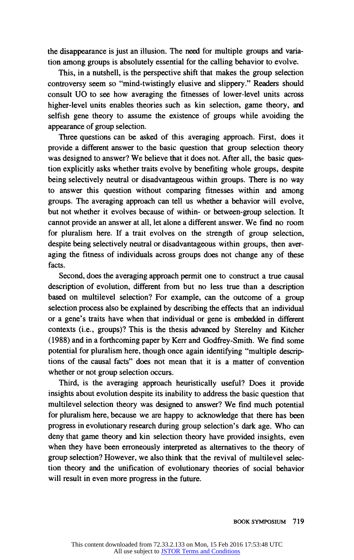**the disappearance is just an illusion. The need for multiple groups and variation among groups is absolutely essential for the calling behavior to evolve.** 

**This, in a nutshell, is the perspective shift that makes the group selection controversy seem so "mind-twistingly elusive and slippery." Readers should consult UO to see how averaging the fitnesses of lower-level units across higher-level units enables theories such as kin selection, game theory, and selfish gene theory to assume the existence of groups while avoiding the appearance of group selection.** 

**Three questions can be asked of this averaging approach. First, does it provide a different answer to the basic question that group selection theory was designed to answer? We believe that it does not. After all, the basic question explicitly asks whether traits evolve by benefiting whole groups, despite being selectively neutral or disadvantageous within groups. There is no way to answer this question without comparing fitnesses within and among groups. The averaging approach can tell us whether a behavior will evolve, but not whether it evolves because of within- or between-group selection. It cannot provide an answer at all, let alone a different answer. We find no room for pluralism here. If a trait evolves on the strength of group selection, despite being selectively neutral or disadvantageous within groups, then averaging the fitness of individuals across groups does not change any of these facts.** 

**Second, does the averaging approach permit one to construct a true causal description of evolution, different from but no less true than a description based on multilevel selection? For example, can the outcome of a group selection process also be explained by describing the effects that an individual or a gene's traits have when that individual or gene is embedded in different contexts (i.e., groups)? This is the thesis advanced by Sterelny and Kitcher (1988) and in a forthcoming paper by Kerr and Godfrey-Smith. We find some potential for pluralism here, though once again identifying "multiple descriptions of the causal facts" does not mean that it is a matter of convention whether or not group selection occurs.** 

**Third, is the averaging approach heuristically useful? Does it provide insights about evolution despite its inability to address the basic question that multilevel selection theory was designed to answer? We find much potential for pluralism here, because we are happy to acknowledge that there has been progress in evolutionary research during group selection's dark age. Who can deny that game theory and kin selection theory have provided insights, even when they have been erroneously interpreted as alternatives to the theory of group selection? However, we also think that the revival of multilevel selection theory and the unification of evolutionary theories of social behavior will result in even more progress in the future.**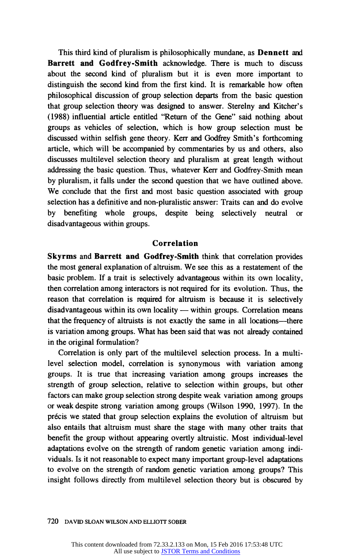**This third kind of pluralism is philosophically mundane, as Dennett and Barrett and Godfrey-Smith acknowledge. There is much to discuss about the second kind of pluralism but it is even more important to distinguish the second kind from the first kind. It is remarkable how often philosophical discussion of group selection departs from the basic question that group selection theory was designed to answer. Sterelny and Kitcher's (1988) influential article entitled "Return of the Gene" said nothing about groups as vehicles of selection, which is how group selection must be discussed within selfish gene theory. Kerr and Godfrey Smith's forthcoming article, which will be accompanied by commentaries by us and others, also discusses multilevel selection theory and pluralism at great length without addressing the basic question. Thus, whatever Kerr and Godfrey-Smith mean by pluralism, it falls under the second question that we have outlined above. We conclude that the first and most basic question associated with group selection has a definitive and non-pluralistic answer: Traits can and do evolve by benefiting whole groups, despite being selectively neutral or disadvantageous within groups.** 

#### **Correlation**

**Skyrms and Barrett and Godfrey-Smith think that correlation provides the most general explanation of altruism. We see this as a restatement of the basic problem. If a trait is selectively advantageous within its own locality, then correlation among interactors is not required for its evolution. Thus, the reason that correlation is required for altruism is because it is selectively**  disadvantageous within its own locality - within groups. Correlation means **that the frequency of altruists is not exactly the same in all locations-there is variation among groups. What has been said that was not already contained in the original formulation?** 

**Correlation is only part of the multilevel selection process. In a multilevel selection model, correlation is synonymous with variation among groups. It is true that increasing variation among groups increases the strength of group selection, relative to selection within groups, but other factors can make group selection strong despite weak variation among groups or weak despite strong variation among groups (Wilson 1990, 1997). In the**  précis we stated that group selection explains the evolution of altruism but **also entails that altruism must share the stage with many other traits that benefit the group without appearing overtly altruistic. Most individual-level adaptations evolve on the strength of random genetic variation among individuals. Is it not reasonable to expect many important group-level adaptations to evolve on the strength of random genetic variation among groups? This insight follows directly from multilevel selection theory but is obscured by**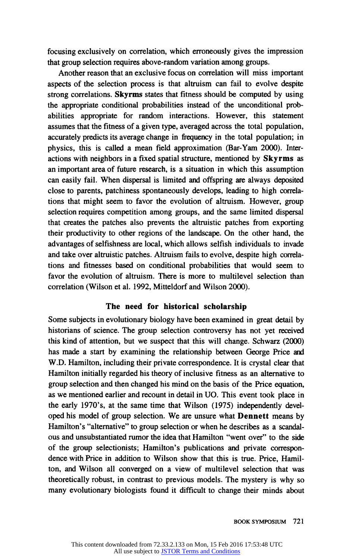**focusing exclusively on correlation, which erroneously gives the impression that group selection requires above-random variation among groups.** 

**Another reason that an exclusive focus on correlation will miss important aspects of the selection process is that altruism can fail to evolve despite strong correlations. Skyrms states that fitness should be computed by using the appropriate conditional probabilities instead of the unconditional probabilities appropriate for random interactions. However, this statement assumes that the fitness of a given type, averaged across the total population, accurately predicts its average change in frequency in the total population; in physics, this is called a mean field approximation (Bar-Yam 2000). Interactions with neighbors in a fixed spatial structure, mentioned by Skyrms as an important area of future research, is a situation in which this assumption can easily fail. When dispersal is limited and offspring are always deposited close to parents, patchiness spontaneously develops, leading to high correlations that might seem to favor the evolution of altruism. However, group selection requires competition among groups, and the same limited dispersal that creates the patches also prevents the altruistic patches from exporting their productivity to other regions of the landscape. On the other hand, the advantages of selfishness are local, which allows selfish individuals to invade and take over altruistic patches. Altruism fails to evolve, despite high correlations and fitnesses based on conditional probabilities that would seem to favor the evolution of altruism. There is more to multilevel selection than correlation (Wilson et al. 1992, Mitteldorf and Wilson 2000).** 

### **The need for historical scholarship**

**Some subjects in evolutionary biology have been examined in great detail by historians of science. The group selection controversy has not yet received this kind of attention, but we suspect that this will change. Schwarz (2000) has made a start by examining the relationship between George Price and W.D. Hamilton, including their private correspondence. It is crystal clear that Hamilton initially regarded his theory of inclusive fitness as an alternative to group selection and then changed his mind on the basis of the Price equation, as we mentioned earlier and recount in detail in UO. This event took place in the early 1970's, at the same time that Wilson (1975) independently developed his model of group selection. We are unsure what Dennett means by Hamilton's "alternative" to group selection or when he describes as a scandalous and unsubstantiated rumor the idea that Hamilton "went over" to the side of the group selectionists; Hamilton's publications and private correspondence with Price in addition to Wilson show that this is true. Price, Hamilton, and Wilson all converged on a view of multilevel selection that was theoretically robust, in contrast to previous models. The mystery is why so many evolutionary biologists found it difficult to change their minds about**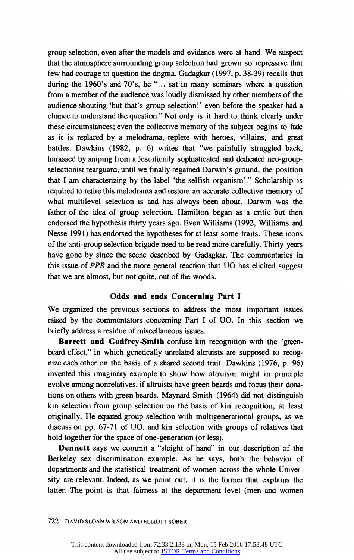**group selection, even after the models and evidence were at hand. We suspect that the atmosphere surrounding group selection had grown so repressive that few had courage to question the dogma. Gadagkar (1997, p. 38-39) recalls that during the 1960's and 70's, he "... sat in many seminars where a question from a member of the audience was loudly dismissed by other members of the audience shouting 'but that's group selection!' even before the speaker had a chance to understand the question." Not only is it hard to think clearly under these circumstances; even the collective memory of the subject begins to fade as it is replaced by a melodrama, replete with heroes, villains, and great battles. Dawkins (1982, p. 6) writes that "we painfully struggled back, harassed by sniping from a Jesuitically sophisticated and dedicated neo-groupselectionist rearguard, until we finally regained Darwin's ground, the position that I am characterizing by the label 'the selfish organism'." Scholarship is required to retire this melodrama and restore an accurate collective memory of what multilevel selection is and has always been about. Darwin was the father of the idea of group selection. Hamilton began as a critic but then endorsed the hypothesis thirty years ago. Even Williams (1992, Williams and Nesse 1991) has endorsed the hypotheses for at least some traits. These icons of the anti-group selection brigade need to be read more carefully. Thirty years have gone by since the scene described by Gadagkar. The commentaries in this issue of PPR and the more general reaction that UO has elicited suggest that we are almost, but not quite, out of the woods.** 

#### **Odds and ends Concerning Part I**

**We organized the previous sections to address the most important issues raised by the commentators concerning Part I of UO. In this section we briefly address a residue of miscellaneous issues.** 

**Barrett and Godfrey-Smith confuse kin recognition with the "greenbeard effect," in which genetically unrelated altruists are supposed to recognize each other on the basis of a shared second trait. Dawkins (1976, p. 96) invented this imaginary example to show how altruism might in principle evolve among nonrelatives, if altruists have green beards and focus their donations on others with green beards. Maynard Smith (1964) did not distinguish kin selection from group selection on the basis of kin recognition, at least originally. He equated group selection with multigenerational groups, as we discuss on pp. 67-71 of UO, and kin selection with groups of relatives that hold together for the space of one-generation (or less).** 

**Dennett says we commit a "sleight of hand" in our description of the Berkeley sex discrimination example. As he says, both the behavior of departments and the statistical treatment of women across the whole University are relevant. Indeed, as we point out, it is the former that explains the latter. The point is that fairness at the department level (men and women**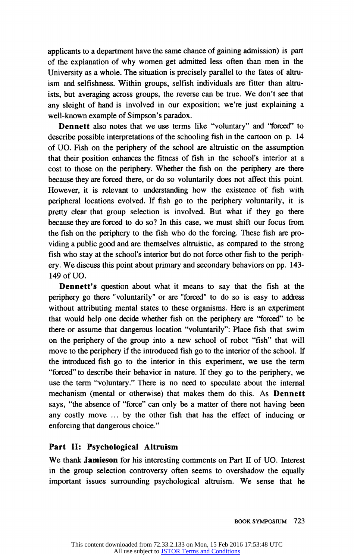**applicants to a department have the same chance of gaining admission) is part of the explanation of why women get admitted less often than men in the University as a whole. The situation is precisely parallel to the fates of altruism and selfishness. Within groups, selfish individuals are fitter than altruists, but averaging across groups, the reverse can be true. We don't see that any sleight of hand is involved in our exposition; we're just explaining a well-known example of Simpson's paradox.** 

**Dennett also notes that we use terms like "voluntary" and 'forced" to describe possible interpretations of the schooling fish in the cartoon on p. 14 of UO. Fish on the periphery of the school are altruistic on the assumption that their position enhances the fitness of fish in the school's interior at a cost to those on the periphery. Whether the fish on the periphery are there because they are forced there, or do so voluntarily does not affect this point. However, it is relevant to understanding how the existence of fish with peripheral locations evolved. If fish go to the periphery voluntarily, it is pretty clear that group selection is involved. But what if they go there because they are forced to do so? In this case, we must shift our focus from the fish on the periphery to the fish who do the forcing. These fish are providing a public good and are themselves altruistic, as compared to the strong fish who stay at the school's interior but do not force other fish to the periphery. We discuss this point about primary and secondary behaviors on pp. 143- 149 of UO.** 

**Dennett's question about what it means to say that the fish at the periphery go there "voluntarily" or are "forced" to do so is easy to address without attributing mental states to these organisms. Here is an experiment that would help one decide whether fish on the periphery are 'forced" to be there or assume that dangerous location "voluntarily": Place fish that swim on the periphery of the group into a new school of robot "fish" that will move to the periphery if the introduced fish go to the interior of the school. If the introduced fish go to the interior in this experiment, we use the term "forced" to describe their behavior in nature. If they go to the periphery, we use the term "voluntary." There is no need to speculate about the internal mechanism (mental or otherwise) that makes them do this. As Dennett says, "the absence of "force" can only be a matter of there not having been any costly move ... by the other fish that has the effect of inducing or enforcing that dangerous choice."** 

## **Part II: Psychological Altruism**

**We thank Jamieson for his interesting comments on Part II of UO. Interest in the group selection controversy often seems to overshadow the equally important issues surrounding psychological altruism. We sense that he**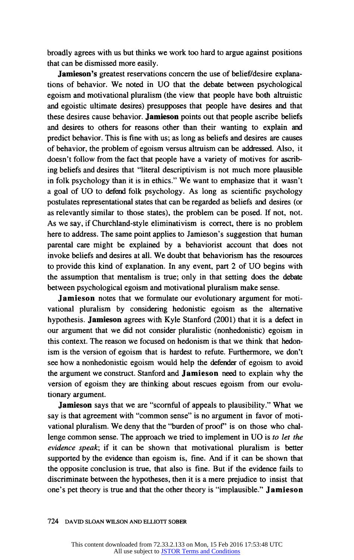**broadly agrees with us but thinks we work too hard to argue against positions that can be dismissed more easily.** 

**Jamieson's greatest reservations concern the use of belief/desire explanations of behavior. We noted in UO that the debate between psychological egoism and motivational pluralism (the view that people have both altruistic and egoistic ultimate desires) presupposes that people have desires and that these desires cause behavior. Jamieson points out that people ascribe beliefs and desires to others for reasons other than their wanting to explain and predict behavior. This is fine with us; as long as beliefs and desires are causes of behavior, the problem of egoism versus altruism can be addressed. Also, it doesn't follow from the fact that people have a variety of motives for ascribing beliefs and desires that "literal descriptivism is not much more plausible in folk psychology than it is in ethics." We want to emphasize that it wasn't a goal of UO to defend folk psychology. As long as scientific psychology postulates representational states that can be regarded as beliefs and desires (or as relevantly similar to those states), the problem can be posed. If not, not. As we say, if Churchland-style eliminativism is correct, there is no problem here to address. The same point applies to Jamieson's suggestion that human parental care might be explained by a behaviorist account that does not invoke beliefs and desires at all. We doubt that behaviorism has the resources to provide this kind of explanation. In any event, part 2 of UO begins with the assumption that mentalism is true; only in that setting does the debate between psychological egoism and motivational pluralism make sense.** 

**Jamieson notes that we formulate our evolutionary argument for motivational pluralism by considering hedonistic egoism as the alternative hypothesis. Jamieson agrees with Kyle Stanford (2001) that it is a defect in our argument that we did not consider pluralistic (nonhedonistic) egoism in this context. The reason we focused on hedonism is that we think that hedonism is the version of egoism that is hardest to refute. Furthermore, we don't see how a nonhedonistic egoism would help the defender of egoism to avoid the argument we construct. Stanford and Jamieson need to explain why the version of egoism they are thinking about rescues egoism from our evolutionary argument.** 

**Jamieson says that we are "scornful of appeals to plausibility." What we say is that agreement with "common sense" is no argument in favor of motivational pluralism. We deny that the "burden of proof' is on those who challenge common sense. The approach we tried to implement in UO is to let the evidence speak; if it can be shown that motivational pluralism is better supported by the evidence than egoism is, fine. And if it can be shown that the opposite conclusion is true, that also is fine. But if the evidence fails to discriminate between the hypotheses, then it is a mere prejudice to insist that one's pet theory is true and that the other theory is "implausible." Jamieson**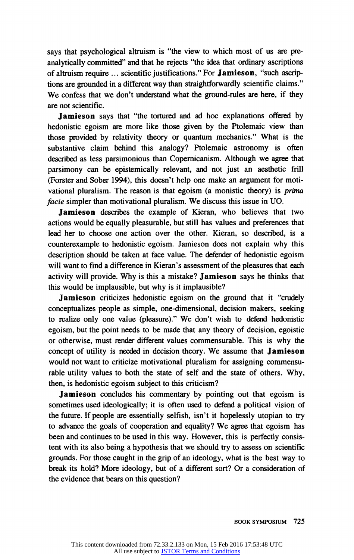**says that psychological altruism is "the view to which most of us are preanalytically committed" and that he rejects 'the idea that ordinary ascriptions of altruism require ... scientific justifications." For Jamieson, "such ascriptions are grounded in a different way than straightforwardly scientific claims." We confess that we don't understand what the ground-rules are here, if they are not scientific.** 

**Jamieson says that "the tortured and ad hoc explanations offered by hedonistic egoism are more like those given by the Ptolemaic view than those provided by relativity theory or quantum mechanics." What is the substantive claim behind this analogy? Ptolemaic astronomy is often described as less parsimonious than Copericanism. Although we agree that parsimony can be epistemically relevant, and not just an aesthetic frill (Forster and Sober 1994), this doesn't help one make an argument for motivational pluralism. The reason is that egoism (a monistic theory) is prima facie simpler than motivational pluralism. We discuss this issue in UO.** 

**Jamieson describes the example of Kieran, who believes that two actions would be equally pleasurable, but still has values and preferences that lead her to choose one action over the other. Kieran, so described, is a counterexample to hedonistic egoism. Jamieson does not explain why this description should be taken at face value. The defender of hedonistic egoism will want to find a difference in Kieran's assessment of the pleasures that each activity will provide. Why is this a mistake? Jamieson says he thinks that this would be implausible, but why is it implausible?** 

**Jamieson criticizes hedonistic egoism on the ground that it "crudely conceptualizes people as simple, one-dimensional, decision makers, seeking to realize only one value (pleasure)." We don't wish to defend hedonistic egoism, but the point needs to be made that any theory of decision, egoistic or otherwise, must render different values commensurable. This is why the concept of utility is needed in decision theory. We assume that Jamieson would not want to criticize motivational pluralism for assigning commensurable utility values to both the state of self and the state of others. Why, then, is hedonistic egoism subject to this criticism?** 

**Jamieson concludes his commentary by pointing out that egoism is sometimes used ideologically; it is often used to defend a political vision of the future. If people are essentially selfish, isn't it hopelessly utopian to try to advance the goals of cooperation and equality? We agree that egoism has been and continues to be used in this way. However, this is perfectly consistent with its also being a hypothesis that we should try to assess on scientific grounds. For those caught in the grip of an ideology, what is the best way to break its hold? More ideology, but of a different sort? Or a consideration of the evidence that bears on this question?**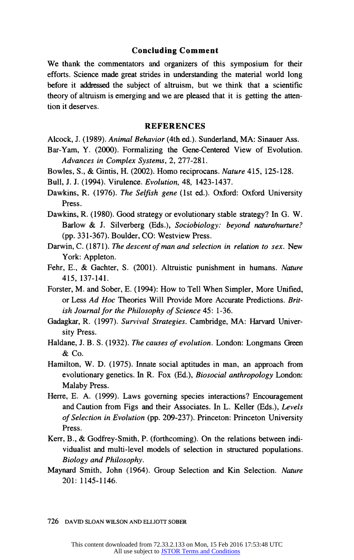### **Concluding Comment**

**We thank the commentators and organizers of this symposium for their efforts. Science made great strides in understanding the material world long before it addressed the subject of altruism, but we think that a scientific theory of altruism is emerging and we are pleased that it is getting the attention it deserves.** 

#### **REFERENCES**

- **Alcock, J. (1989). Animal Behavior (4th ed.). Sunderland, MA: Sinauer Ass.**
- **Bar-Yam, Y. (2000). Formalizing the Gene-Centered View of Evolution. Advances in Complex Systems, 2, 277-281.**
- **Bowles, S., & Gintis, H. (2002). Homo reciprocans. Nature 415, 125-128.**
- **Bull, J. J. (1994). Virulence. Evolution, 48, 1423-1437.**
- **Dawkins, R. (1976). The Selfish gene (1st ed.). Oxford: Oxford University Press.**
- **Dawkins, R. (1980). Good strategy or evolutionary stable strategy? In G. W.**  Barlow & J. Silverberg (Eds.), Sociobiology: beyond nature/nurture? **(pp. 331-367). Boulder, CO: Westview Press.**
- **Darwin, C. (1871). The descent of man and selection in relation to sex. New York: Appleton.**
- **Fehr, E., & Gachter, S. (2001). Altruistic punishment in humans. Nature 415, 137-141.**
- **Forster, M. and Sober, E. (1994): How to Tell When Simpler, More Unified, or Less Ad Hoc Theories Will Provide More Accurate Predictions. British Journal for the Philosophy of Science 45: 1-36.**
- **Gadagkar, R. (1997). Survival Strategies. Cambridge, MA: Harvard University Press.**
- **Haldane, J. B. S. (1932). The causes of evolution. London: Longmans Green & Co.**
- **Hamilton, W. D. (1975). Innate social aptitudes in man, an approach from evolutionary genetics. In R. Fox (Ed.), Biosocial anthropology London: Malaby Press.**
- **Herre, E. A. (1999). Laws governing species interactions? Encouragement and Caution from Figs and their Associates. In L. Keller (Eds.), Levels of Selection in Evolution (pp. 209-237). Princeton: Princeton University Press.**
- **Kerr, B., & Godfrey-Smith, P. (forthcoming). On the relations between individualist and multi-level models of selection in structured populations. Biology and Philosophy.**
- **Maynard Smith, John (1964). Group Selection and Kin Selection. Nature 201: 1145-1146.**